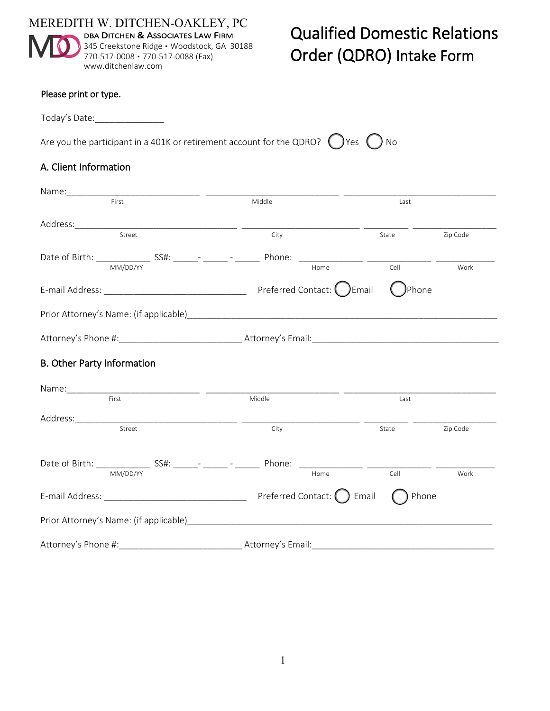

# Qualified Domestic Relations Order (QDRO) Intake Form

#### Please print or type.

Today's Date:\_\_\_\_\_\_\_\_\_\_\_\_\_\_

Are you the participant in a 401K or retirement account for the QDRO?  $\bigcap$  Yes  $\bigcap$  No

## A. Client Information

| <u> 1980 - Andrea Andrew Maria (</u>                                                                                              |                          |        |          |
|-----------------------------------------------------------------------------------------------------------------------------------|--------------------------|--------|----------|
| First                                                                                                                             | Middle                   | Last   |          |
|                                                                                                                                   |                          |        |          |
| T                                                                                                                                 | City                     | State  | Zip Code |
| Date of Birth: <u>MM/DD/YY</u> SS#: ______ <sup>_</sup> ______ <sup>_</sup> _______ Phone: _______________ ________ ________ Cell |                          |        |          |
|                                                                                                                                   |                          | Cell   | Work     |
|                                                                                                                                   |                          | )Phone |          |
|                                                                                                                                   |                          |        |          |
|                                                                                                                                   |                          |        |          |
| B. Other Party Information                                                                                                        |                          |        |          |
|                                                                                                                                   |                          |        |          |
|                                                                                                                                   | Name: First First Middle | Last   |          |
|                                                                                                                                   |                          |        |          |
| Street                                                                                                                            | City                     | State  | Zip Code |
|                                                                                                                                   |                          |        |          |
|                                                                                                                                   |                          |        | Work     |
|                                                                                                                                   |                          |        | Phone    |
|                                                                                                                                   |                          |        |          |
| Attorney's Phone #:                                                                                                               |                          |        |          |